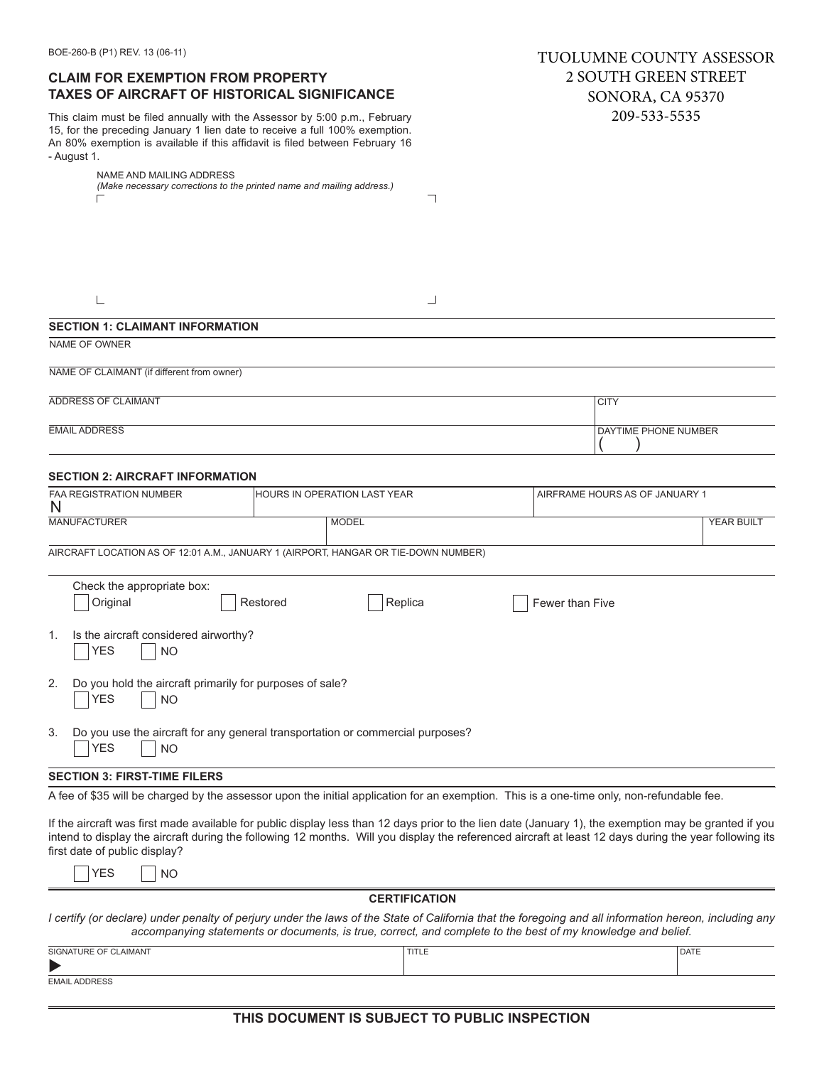| <b>CLAIM FOR EXEMPTION FROM PROPERTY</b><br><b>TAXES OF AIRCRAFT OF HISTORICAL SIGNIFICANCE</b>                                                                                                                                                                                                                                                  |                                                                                                              |                      | <b>2 SOUTH GREEN STREET</b><br><b>SONORA, CA 95370</b> |                                |            |
|--------------------------------------------------------------------------------------------------------------------------------------------------------------------------------------------------------------------------------------------------------------------------------------------------------------------------------------------------|--------------------------------------------------------------------------------------------------------------|----------------------|--------------------------------------------------------|--------------------------------|------------|
| This claim must be filed annually with the Assessor by 5:00 p.m., February<br>15, for the preceding January 1 lien date to receive a full 100% exemption.<br>An 80% exemption is available if this affidavit is filed between February 16<br>- August 1.                                                                                         |                                                                                                              |                      |                                                        | 209-533-5535                   |            |
| NAME AND MAILING ADDRESS<br>(Make necessary corrections to the printed name and mailing address.)                                                                                                                                                                                                                                                |                                                                                                              |                      |                                                        |                                |            |
| ⊏                                                                                                                                                                                                                                                                                                                                                |                                                                                                              | ┓                    |                                                        |                                |            |
|                                                                                                                                                                                                                                                                                                                                                  |                                                                                                              |                      |                                                        |                                |            |
|                                                                                                                                                                                                                                                                                                                                                  |                                                                                                              |                      |                                                        |                                |            |
|                                                                                                                                                                                                                                                                                                                                                  |                                                                                                              |                      |                                                        |                                |            |
| $\overline{\phantom{a}}$                                                                                                                                                                                                                                                                                                                         |                                                                                                              | ┘                    |                                                        |                                |            |
| <b>SECTION 1: CLAIMANT INFORMATION</b>                                                                                                                                                                                                                                                                                                           |                                                                                                              |                      |                                                        |                                |            |
| NAME OF OWNER                                                                                                                                                                                                                                                                                                                                    |                                                                                                              |                      |                                                        |                                |            |
| NAME OF CLAIMANT (if different from owner)                                                                                                                                                                                                                                                                                                       |                                                                                                              |                      |                                                        |                                |            |
| ADDRESS OF CLAIMANT                                                                                                                                                                                                                                                                                                                              |                                                                                                              |                      |                                                        | <b>CITY</b>                    |            |
| <b>EMAIL ADDRESS</b>                                                                                                                                                                                                                                                                                                                             |                                                                                                              |                      |                                                        | DAYTIME PHONE NUMBER           |            |
|                                                                                                                                                                                                                                                                                                                                                  |                                                                                                              |                      |                                                        |                                |            |
| <b>SECTION 2: AIRCRAFT INFORMATION</b>                                                                                                                                                                                                                                                                                                           |                                                                                                              |                      |                                                        |                                |            |
| <b>FAA REGISTRATION NUMBER</b>                                                                                                                                                                                                                                                                                                                   | HOURS IN OPERATION LAST YEAR                                                                                 |                      |                                                        | AIRFRAME HOURS AS OF JANUARY 1 |            |
| N<br><b>MANUFACTURER</b>                                                                                                                                                                                                                                                                                                                         | <b>MODEL</b>                                                                                                 |                      |                                                        |                                | YEAR BUILT |
| AIRCRAFT LOCATION AS OF 12:01 A.M., JANUARY 1 (AIRPORT, HANGAR OR TIE-DOWN NUMBER)                                                                                                                                                                                                                                                               |                                                                                                              |                      |                                                        |                                |            |
|                                                                                                                                                                                                                                                                                                                                                  |                                                                                                              |                      |                                                        |                                |            |
| Check the appropriate box:<br>Original                                                                                                                                                                                                                                                                                                           | Restored                                                                                                     | Replica              | <b>Fewer than Five</b>                                 |                                |            |
|                                                                                                                                                                                                                                                                                                                                                  |                                                                                                              |                      |                                                        |                                |            |
| Is the aircraft considered airworthy?<br>1.<br><b>YES</b><br><b>NO</b>                                                                                                                                                                                                                                                                           |                                                                                                              |                      |                                                        |                                |            |
| Do you hold the aircraft primarily for purposes of sale?<br>2.<br><b>YES</b><br><b>NO</b>                                                                                                                                                                                                                                                        |                                                                                                              |                      |                                                        |                                |            |
| Do you use the aircraft for any general transportation or commercial purposes?<br>3.<br><b>YES</b><br><b>NO</b>                                                                                                                                                                                                                                  |                                                                                                              |                      |                                                        |                                |            |
| <b>SECTION 3: FIRST-TIME FILERS</b>                                                                                                                                                                                                                                                                                                              |                                                                                                              |                      |                                                        |                                |            |
| A fee of \$35 will be charged by the assessor upon the initial application for an exemption. This is a one-time only, non-refundable fee.                                                                                                                                                                                                        |                                                                                                              |                      |                                                        |                                |            |
| If the aircraft was first made available for public display less than 12 days prior to the lien date (January 1), the exemption may be granted if you<br>intend to display the aircraft during the following 12 months. Will you display the referenced aircraft at least 12 days during the year following its<br>first date of public display? |                                                                                                              |                      |                                                        |                                |            |
| <b>YES</b><br><b>NO</b>                                                                                                                                                                                                                                                                                                                          |                                                                                                              |                      |                                                        |                                |            |
|                                                                                                                                                                                                                                                                                                                                                  |                                                                                                              | <b>CERTIFICATION</b> |                                                        |                                |            |
| I certify (or declare) under penalty of perjury under the laws of the State of California that the foregoing and all information hereon, including any                                                                                                                                                                                           | accompanying statements or documents, is true, correct, and complete to the best of my knowledge and belief. |                      |                                                        |                                |            |
| SIGNATURE OF CLAIMANT                                                                                                                                                                                                                                                                                                                            |                                                                                                              | <b>TITLE</b>         |                                                        | DATE                           |            |

TUOLUMNE COUNTY ASSESSOR

t EMAIL ADDRESS

BOE-260-B (P1) REV. 13 (06-11)